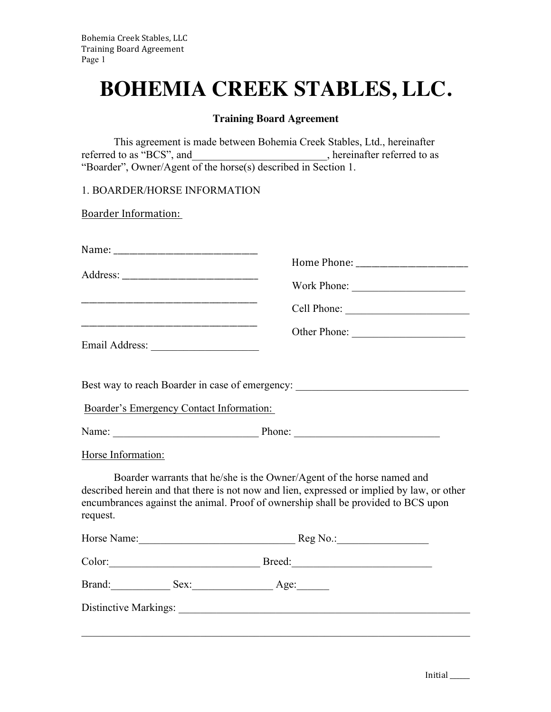## **BOHEMIA CREEK STABLES, LLC.**

## **Training Board Agreement**

This agreement is made between Bohemia Creek Stables, Ltd., hereinafter referred to as "BCS", and \_\_\_\_\_\_\_\_\_\_\_\_\_\_\_\_\_\_\_\_, hereinafter referred to as "Boarder", Owner/Agent of the horse(s) described in Section 1.

1. BOARDER/HORSE INFORMATION

**Boarder Information:** 

|                                          | Other Phone:                                                                                                                                                                                                                                              |
|------------------------------------------|-----------------------------------------------------------------------------------------------------------------------------------------------------------------------------------------------------------------------------------------------------------|
|                                          | Best way to reach Boarder in case of emergency: ________________________________                                                                                                                                                                          |
| Boarder's Emergency Contact Information: |                                                                                                                                                                                                                                                           |
|                                          |                                                                                                                                                                                                                                                           |
| Horse Information:                       |                                                                                                                                                                                                                                                           |
| request.                                 | Boarder warrants that he/she is the Owner/Agent of the horse named and<br>described herein and that there is not now and lien, expressed or implied by law, or other<br>encumbrances against the animal. Proof of ownership shall be provided to BCS upon |
| Horse Name: Reg No.: Reg No.:            |                                                                                                                                                                                                                                                           |
| Color: Breed: Breed:                     |                                                                                                                                                                                                                                                           |
| Brand: Sex: Sex: Age:                    |                                                                                                                                                                                                                                                           |
|                                          |                                                                                                                                                                                                                                                           |
|                                          |                                                                                                                                                                                                                                                           |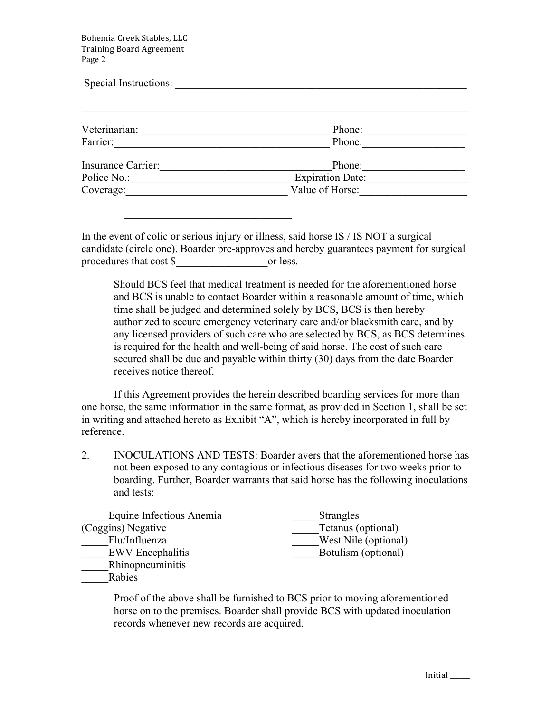Bohemia Creek Stables, LLC Training Board Agreement Page 2

 $\mathcal{L}_\text{max} = \frac{1}{2} \sum_{i=1}^{n} \frac{1}{2} \sum_{i=1}^{n} \frac{1}{2} \sum_{i=1}^{n} \frac{1}{2} \sum_{i=1}^{n} \frac{1}{2} \sum_{i=1}^{n} \frac{1}{2} \sum_{i=1}^{n} \frac{1}{2} \sum_{i=1}^{n} \frac{1}{2} \sum_{i=1}^{n} \frac{1}{2} \sum_{i=1}^{n} \frac{1}{2} \sum_{i=1}^{n} \frac{1}{2} \sum_{i=1}^{n} \frac{1}{2} \sum_{i=1}^{n} \frac{1$ 

| Special Instructions:             |                            |  |
|-----------------------------------|----------------------------|--|
| Veterinarian:                     | Phone:                     |  |
| Farrier:                          | Phone:                     |  |
| Insurance Carrier:<br>Police No.: | Phone:<br>Expiration Date: |  |
| Coverage:                         | Value of Horse:            |  |

In the event of colic or serious injury or illness, said horse IS / IS NOT a surgical candidate (circle one). Boarder pre-approves and hereby guarantees payment for surgical procedures that cost \$\_\_\_\_\_\_\_\_\_\_\_\_\_\_\_\_\_or less.

Should BCS feel that medical treatment is needed for the aforementioned horse and BCS is unable to contact Boarder within a reasonable amount of time, which time shall be judged and determined solely by BCS, BCS is then hereby authorized to secure emergency veterinary care and/or blacksmith care, and by any licensed providers of such care who are selected by BCS, as BCS determines is required for the health and well-being of said horse. The cost of such care secured shall be due and payable within thirty (30) days from the date Boarder receives notice thereof.

If this Agreement provides the herein described boarding services for more than one horse, the same information in the same format, as provided in Section 1, shall be set in writing and attached hereto as Exhibit "A", which is hereby incorporated in full by reference.

2. INOCULATIONS AND TESTS: Boarder avers that the aforementioned horse has not been exposed to any contagious or infectious diseases for two weeks prior to boarding. Further, Boarder warrants that said horse has the following inoculations and tests:

| Equine Infectious Anemia | <b>Strangles</b>     |
|--------------------------|----------------------|
| (Coggins) Negative       | Tetanus (optional)   |
| Flu/Influenza            | West Nile (optional) |
| <b>EWV</b> Encephalitis  | Botulism (optional)  |
| Rhinopneuminitis         |                      |

\_\_\_\_\_Rabies

Proof of the above shall be furnished to BCS prior to moving aforementioned horse on to the premises. Boarder shall provide BCS with updated inoculation records whenever new records are acquired.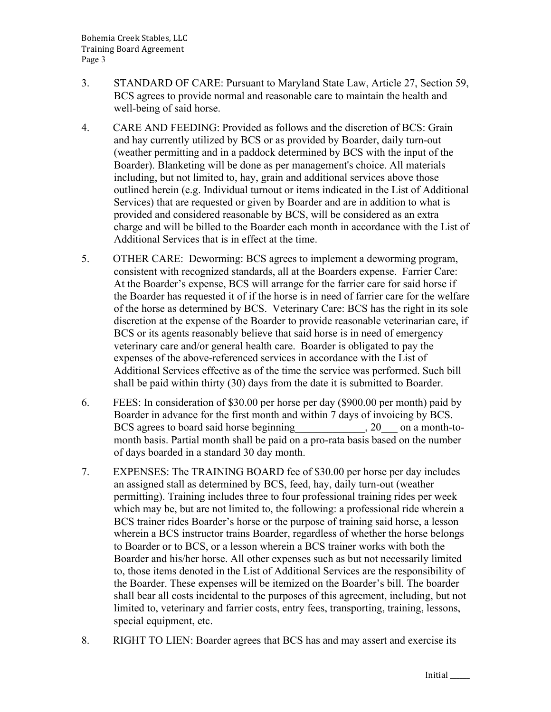- 3. STANDARD OF CARE: Pursuant to Maryland State Law, Article 27, Section 59, BCS agrees to provide normal and reasonable care to maintain the health and well-being of said horse.
- 4. CARE AND FEEDING: Provided as follows and the discretion of BCS: Grain and hay currently utilized by BCS or as provided by Boarder, daily turn-out (weather permitting and in a paddock determined by BCS with the input of the Boarder). Blanketing will be done as per management's choice. All materials including, but not limited to, hay, grain and additional services above those outlined herein (e.g. Individual turnout or items indicated in the List of Additional Services) that are requested or given by Boarder and are in addition to what is provided and considered reasonable by BCS, will be considered as an extra charge and will be billed to the Boarder each month in accordance with the List of Additional Services that is in effect at the time.
- 5. OTHER CARE: Deworming: BCS agrees to implement a deworming program, consistent with recognized standards, all at the Boarders expense. Farrier Care: At the Boarder's expense, BCS will arrange for the farrier care for said horse if the Boarder has requested it of if the horse is in need of farrier care for the welfare of the horse as determined by BCS. Veterinary Care: BCS has the right in its sole discretion at the expense of the Boarder to provide reasonable veterinarian care, if BCS or its agents reasonably believe that said horse is in need of emergency veterinary care and/or general health care. Boarder is obligated to pay the expenses of the above-referenced services in accordance with the List of Additional Services effective as of the time the service was performed. Such bill shall be paid within thirty (30) days from the date it is submitted to Boarder.
- 6. FEES: In consideration of \$30.00 per horse per day (\$900.00 per month) paid by Boarder in advance for the first month and within 7 days of invoicing by BCS. BCS agrees to board said horse beginning 20 on a month-tomonth basis. Partial month shall be paid on a pro-rata basis based on the number of days boarded in a standard 30 day month.
- 7. EXPENSES: The TRAINING BOARD fee of \$30.00 per horse per day includes an assigned stall as determined by BCS, feed, hay, daily turn-out (weather permitting). Training includes three to four professional training rides per week which may be, but are not limited to, the following: a professional ride wherein a BCS trainer rides Boarder's horse or the purpose of training said horse, a lesson wherein a BCS instructor trains Boarder, regardless of whether the horse belongs to Boarder or to BCS, or a lesson wherein a BCS trainer works with both the Boarder and his/her horse. All other expenses such as but not necessarily limited to, those items denoted in the List of Additional Services are the responsibility of the Boarder. These expenses will be itemized on the Boarder's bill. The boarder shall bear all costs incidental to the purposes of this agreement, including, but not limited to, veterinary and farrier costs, entry fees, transporting, training, lessons, special equipment, etc.
- 8. RIGHT TO LIEN: Boarder agrees that BCS has and may assert and exercise its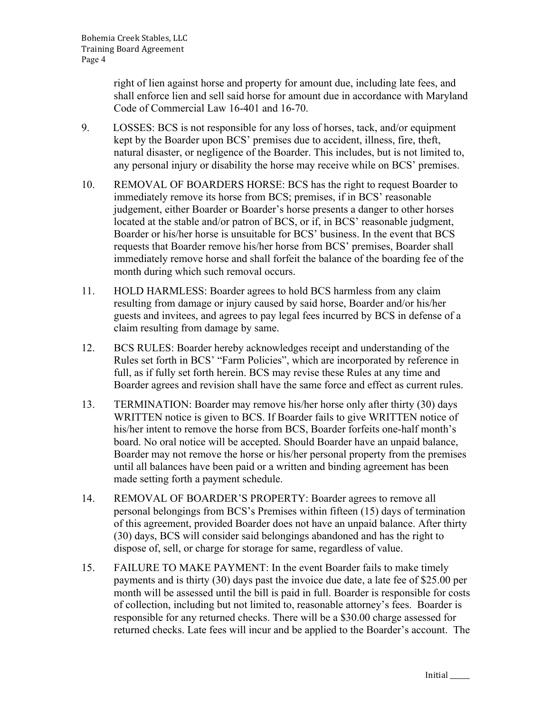right of lien against horse and property for amount due, including late fees, and shall enforce lien and sell said horse for amount due in accordance with Maryland Code of Commercial Law 16-401 and 16-70.

- 9. LOSSES: BCS is not responsible for any loss of horses, tack, and/or equipment kept by the Boarder upon BCS' premises due to accident, illness, fire, theft, natural disaster, or negligence of the Boarder. This includes, but is not limited to, any personal injury or disability the horse may receive while on BCS' premises.
- 10. REMOVAL OF BOARDERS HORSE: BCS has the right to request Boarder to immediately remove its horse from BCS; premises, if in BCS' reasonable judgement, either Boarder or Boarder's horse presents a danger to other horses located at the stable and/or patron of BCS, or if, in BCS' reasonable judgment, Boarder or his/her horse is unsuitable for BCS' business. In the event that BCS requests that Boarder remove his/her horse from BCS' premises, Boarder shall immediately remove horse and shall forfeit the balance of the boarding fee of the month during which such removal occurs.
- 11. HOLD HARMLESS: Boarder agrees to hold BCS harmless from any claim resulting from damage or injury caused by said horse, Boarder and/or his/her guests and invitees, and agrees to pay legal fees incurred by BCS in defense of a claim resulting from damage by same.
- 12. BCS RULES: Boarder hereby acknowledges receipt and understanding of the Rules set forth in BCS' "Farm Policies", which are incorporated by reference in full, as if fully set forth herein. BCS may revise these Rules at any time and Boarder agrees and revision shall have the same force and effect as current rules.
- 13. TERMINATION: Boarder may remove his/her horse only after thirty (30) days WRITTEN notice is given to BCS. If Boarder fails to give WRITTEN notice of his/her intent to remove the horse from BCS, Boarder forfeits one-half month's board. No oral notice will be accepted. Should Boarder have an unpaid balance, Boarder may not remove the horse or his/her personal property from the premises until all balances have been paid or a written and binding agreement has been made setting forth a payment schedule.
- 14. REMOVAL OF BOARDER'S PROPERTY: Boarder agrees to remove all personal belongings from BCS's Premises within fifteen (15) days of termination of this agreement, provided Boarder does not have an unpaid balance. After thirty (30) days, BCS will consider said belongings abandoned and has the right to dispose of, sell, or charge for storage for same, regardless of value.
- 15. FAILURE TO MAKE PAYMENT: In the event Boarder fails to make timely payments and is thirty (30) days past the invoice due date, a late fee of \$25.00 per month will be assessed until the bill is paid in full. Boarder is responsible for costs of collection, including but not limited to, reasonable attorney's fees. Boarder is responsible for any returned checks. There will be a \$30.00 charge assessed for returned checks. Late fees will incur and be applied to the Boarder's account. The